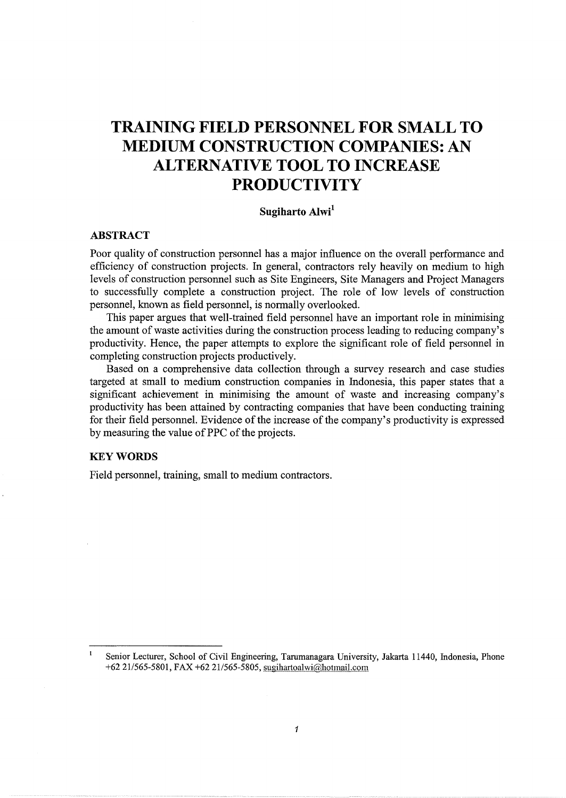# **TRAINING FIELD PERSONNEL FOR SMALL TO MEDIUM CONSTRUCTION COMPANIES: AN ALTERNATIVE TOOL TO INCREASE PRODUCTIVITY**

# **Sugiharto Alwi<sup>1</sup>**

## **ABSTRACT**

Poor quality of construction personnel has a major influence on the overall performance and efficiency of construction projects. In general, contractors rely heavily on medium to high levels of construction personnel such as Site Engineers, Site Managers and Project Managers to successfully complete a construction project. The role of low levels of construction personnel, known as field personnel, is normally overlooked.

This paper argues that well-trained field personnel have an important role in minimising the amount of waste activities during the construction process leading to reducing company's productivity. Hence, the paper attempts to explore the significant role of field personnel in completing construction projects productively.

Based on a comprehensive data collection through a survey research and case studies targeted at small to medium construction companies in Indonesia, this paper states that a significant achievement in minimising the amount of waste and increasing company's productivity has been attained by contracting companies that have been conducting training for their field personnel. Evidence of the increase of the company's productivity is expressed by measuring the value of PPC of the projects.

# **KEYWORDS**

Field personnel, training, small to medium contractors.

 $\mathbf{1}$ Senior Lecturer, School of Civil Engineering, Tarumanagara University, Jakarta 11440, Indonesia, Phone +62 21/565-5801, FAX +62 21/565-5805, sugihartoalwi@hotmail.com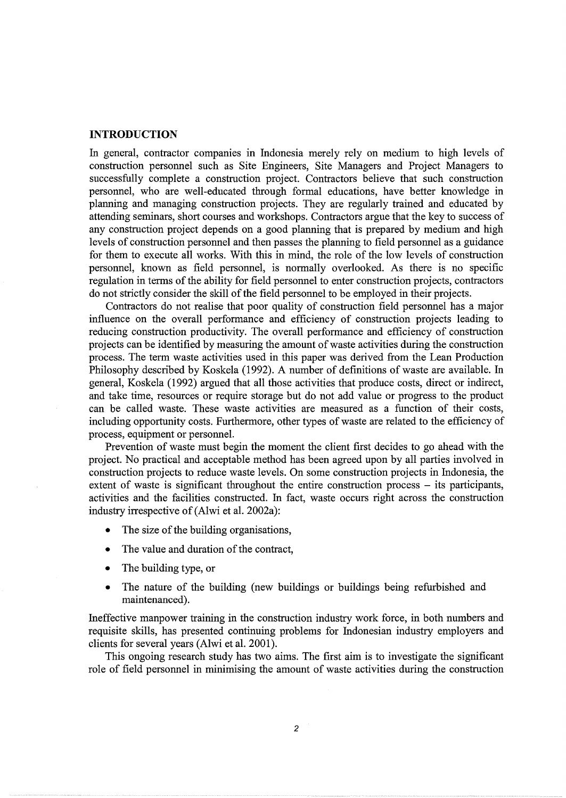#### **INTRODUCTION**

In general, contractor companies in Indonesia merely rely on medium to high levels of construction personnel such as Site Engineers, Site Managers and Project Managers to successfully complete a construction project. Contractors believe that such construction personnel, who are well-educated through formal educations, have better knowledge in planning and managing construction projects. They are regularly trained and educated by attending seminars, short courses and workshops. Contractors argue that the key to success of any construction project depends on a good planning that is prepared by medium and high levels of construction personnel and then passes the planning to field personnel as a guidance for them to execute all works. With this in mind, the role of the low levels of construction personnel, known as field personnel, is normally overlooked. As there is no specific regulation in terms of the ability for field personnel to enter construction projects, contractors do not strictly consider the skill of the field personnel to be employed in their projects.

Contractors do not realise that poor quality of construction field personnel has a major influence on the overall performance and efficiency of construction projects leading to reducing construction productivity. The overall performance and efficiency of construction projects can be identified by measuring the amount of waste activities during the construction process. The term waste activities used in this paper was derived from the Lean Production Philosophy described by Koskela (1992). A number of definitions of waste are available. In general, Koskela (1992) argued that all those activities that produce costs, direct or indirect, and take time, resources or require storage but do not add value or progress to the product can be called waste. These waste activities are measured as a function of their costs, including opportunity costs. Furthermore, other types of waste are related to the efficiency of process, equipment or personnel.

Prevention of waste must begin the moment the client first decides to go ahead with the project. No practical and acceptable method has been agreed upon by all parties involved in construction projects to reduce waste levels. On some construction projects in Indonesia, the extent of waste is significant throughout the entire construction process – its participants, activities and the facilities constructed. In fact, waste occurs right across the construction industry irrespective of (Alwi et al. 2002a):

- The size of the building organisations,
- The value and duration of the contract,
- The building type, or
- The nature of the building (new buildings or buildings being refurbished and maintenanced).

Ineffective manpower training in the construction industry work force, in both numbers and requisite skills, has presented continuing problems for Indonesian industry employers and clients for several years (Alwi et al. 2001).

This ongoing research study has two aims. The first aim is to investigate the significant role of field personnel in minimising the amount of waste activities during the construction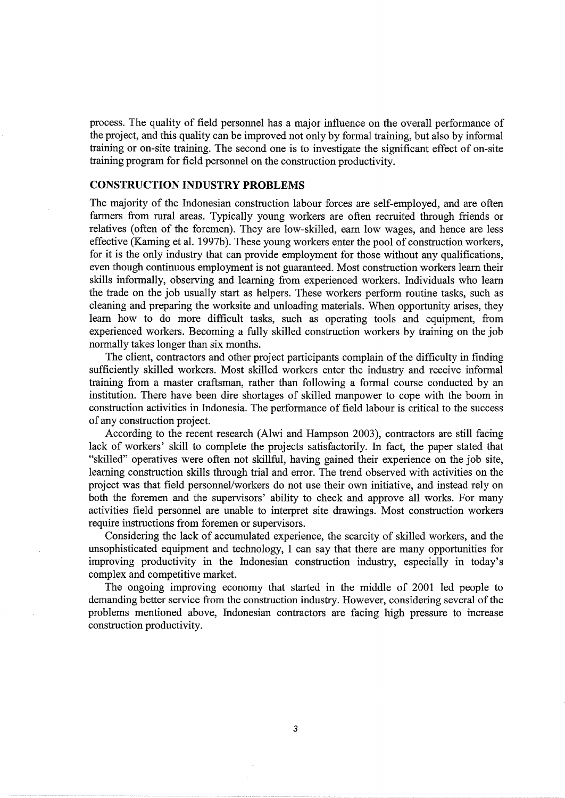process. The quality of field personnel has a major influence on the overall performance of the project, and this quality can be improved not only by formal training, but also by informal training or on-site training. The second one is to investigate the significant effect of on-site training program for field personnel on the construction productivity.

# **CONSTRUCTION INDUSTRY PROBLEMS**

The majority of the Indonesian construction labour forces are self-employed, and are often farmers from rural areas. Typically young workers are often recruited through friends or relatives (often of the foremen). They are low-skilled, earn low wages, and hence are less effective (Kaming et al. 1997b). These young workers enter the pool of construction workers, for it is the only industry that can provide employment for those without any qualifications, even though continuous employment is not guaranteed. Most construction workers learn their skills informally, observing and learning from experienced workers. Individuals who learn the trade on the job usually start as helpers. These workers perform routine tasks, such as cleaning and preparing the worksite and unloading materials. When opportunity arises, they learn how to do more difficult tasks, such as operating tools and equipment, from experienced workers. Becoming a fully skilled construction workers by training on the job normally takes longer than six months.

The client, contractors and other project participants complain of the difficulty in finding sufficiently skilled workers. Most skilled workers enter the industry and receive informal training from a master craftsman, rather than following a formal course conducted by an institution. There have been dire shortages of skilled manpower to cope with the boom in construction activities in Indonesia. The performance of field labour is critical to the success of any construction project.

According to the recent research (Alwi and Hampson 2003), contractors are still facing lack of workers' skill to complete the projects satisfactorily. In fact, the paper stated that "skilled" operatives were often not skillful, having gained their experience on the job site, learning construction skills through trial and error. The trend observed with activities on the project was that field personnel/workers do not use their own initiative, and instead rely on both the foremen and the supervisors' ability to check and approve all works. For many activities field personnel are unable to interpret site drawings. Most construction workers require instructions from foremen or supervisors.

Considering the lack of accumulated experience, the scarcity of skilled workers, and the unsophisticated equipment and technology, I can say that there are many opportunities for improving productivity in the Indonesian construction industry, especially in today's complex and competitive market.

The ongoing improving economy that started in the middle of 2001 led people to demanding better service from the construction industry. However, considering several of the problems mentioned above, Indonesian contractors are facing high pressure to increase construction productivity.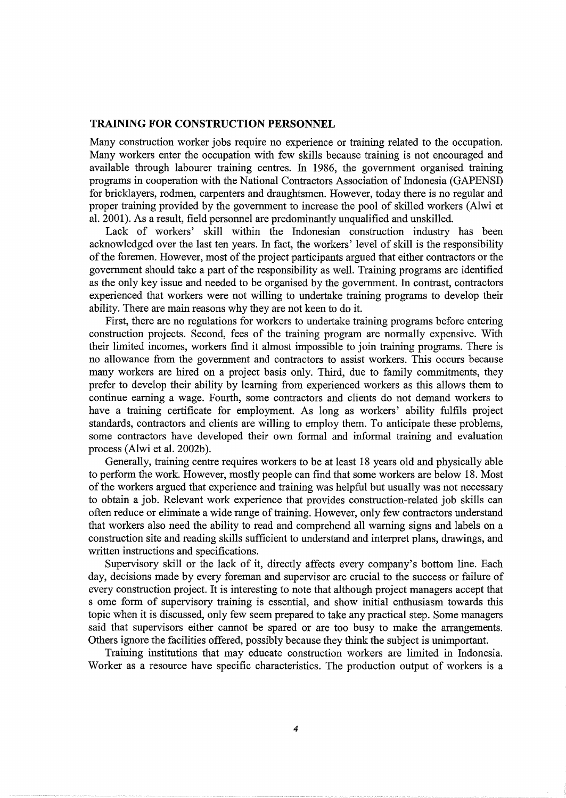### **TRAINING FOR CONSTRUCTION PERSONNEL**

Many construction worker jobs require no experience or training related to the occupation. Many workers enter the occupation with few skills because training is not encouraged and available through labourer training centres. In 1986, the government organised training programs in cooperation with the National Contractors Association of Indonesia (GAPENSI) for bricklayers, rodmen, carpenters and draughtsmen. However, today there is no regular and proper training provided by the government to increase the pool of skilled workers (Alwi et al. 2001). As a result, field personnel are predominantly unqualified and unskilled.

Lack of workers' skill within the Indonesian construction industry has been acknowledged over the last ten years. In fact, the workers' level of skill is the responsibility of the foremen. However, most of the project participants argued that either contractors or the government should take a part of the responsibility as well. Training programs are identified as the only key issue and needed to be organised by the government. In contrast, contractors experienced that workers were not willing to undertake training programs to develop their ability. There are main reasons why they are not keen to do it.

First, there are no regulations for workers to undertake training programs before entering construction projects. Second, fees of the training program are normally expensive. With their limited incomes, workers find it almost impossible to join training programs. There is no allowance from the government and contractors to assist workers. This occurs because many workers are hired on a project basis only. Third, due to family commitments, they prefer to develop their ability by learning from experienced workers as this allows them to continue earning a wage. Fourth, some contractors and clients do not demand workers to have a training certificate for employment. As long as workers' ability fulfils project standards, contractors and clients are willing to employ them. To anticipate these problems, some contractors have developed their own formal and informal training and evaluation process (Alwi et al. 2002b).

Generally, training centre requires workers to be at least 18 years old and physically able to perform the work. However, mostly people can find that some workers are below 18. Most of the workers argued that experience and training was helpful but usually was not necessary to obtain a job. Relevant work experience that provides construction-related job skills can often reduce or eliminate a wide range of training. However, only few contractors understand that workers also need the ability to read and comprehend all warning signs and labels on a construction site and reading skills sufficient to understand and interpret plans, drawings, and written instructions and specifications.

Supervisory skill or the lack of it, directly affects every company's bottom line. Each day, decisions made by every foreman and supervisor are crucial to the success or failure of every construction project. It is interesting to note that although project managers accept that s ome form of supervisory training is essential, and show initial enthusiasm towards this topic when it is discussed, only few seem prepared to take any practical step. Some managers said that supervisors either cannot be spared or are too busy to make the arrangements. Others ignore the facilities offered, possibly because they think the subject is unimportant.

Training institutions that may educate construction workers are limited in Indonesia. Worker as a resource have specific characteristics. The production output of workers is a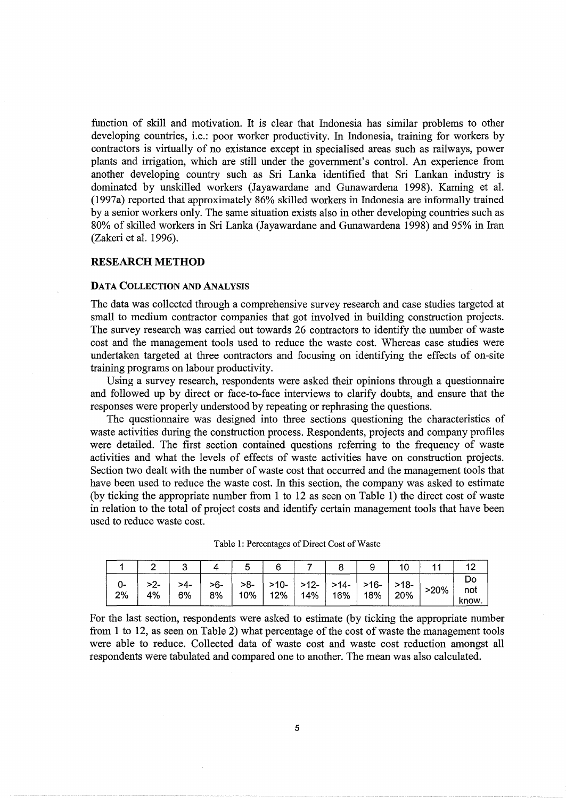function of skill and motivation. It is clear that Indonesia has similar problems to other developing countries, i.e.: poor worker productivity. In Indonesia, training for workers by contractors is virtually of no existance except in specialised areas such as railways, power plants and irrigation, which are still under the government's control. An experience from another developing country such as Sri Lanka identified that Sri Lankan industry is dominated by unskilled workers (Jayawardane and Gunawardena 1998). Kaming et al. (1997a) reported that approximately 86% skilled workers in Indonesia are informally trained by a senior workers only. The same situation exists also in other developing countries such as 80% of skilled workers in Sri Lanka (Jayawardane and Gunawardena 1998) and 95% in Iran (Zakeri et al. 1996).

#### **RESEARCH METHOD**

#### DATA COLLECTION AND ANALYSIS

The data was collected through a comprehensive survey research and case studies targeted at small to medium contractor companies that got involved in building construction projects. The survey research was carried out towards 26 contractors to identify the number of waste cost and the management tools used to reduce the waste cost. Whereas case studies were undertaken targeted at three contractors and focusing on identifying the effects of on-site training programs on labour productivity.

Using a survey research, respondents were asked their opinions through a questionnaire and followed up by direct or face-to-face interviews to clarify doubts, and ensure that the responses were properly understood by repeating or rephrasing the questions.

The questionnaire was designed into three sections questioning the characteristics of waste activities during the construction process. Respondents, projects and company profiles were detailed. The first section contained questions referring to the frequency of waste activities and what the levels of effects of waste activities have on construction projects. Section two dealt with the number of waste cost that occurred and the management tools that have been used to reduce the waste cost. In this section, the company was asked to estimate (by ticking the appropriate number from 1 to 12 as seen on Table 1) the direct cost of waste in relation to the total of project costs and identify certain management tools that have been used to reduce waste cost.

| -ل<br>2% | 4% | >4-<br>6% | $>6-$<br>8% | $>8-$<br>10% l | $>10-$   $>12-$   $>14-$   $>16-$   $>18-$  <br>12%   14% | ⊣ 16% <sup>∣</sup> | $^{\prime}$ 18% . | 20% | $>20\%$ | not<br>know. |
|----------|----|-----------|-------------|----------------|-----------------------------------------------------------|--------------------|-------------------|-----|---------|--------------|

Table 1: Percentages of Direct Cost of Waste

For the last section, respondents were asked to estimate (by ticking the appropriate number from **1** to 12, as seen on Table 2) what percentage of the cost of waste the management tools were able to reduce. Collected data of waste cost and waste cost reduction amongst all respondents were tabulated and compared one to another. The mean was also calculated.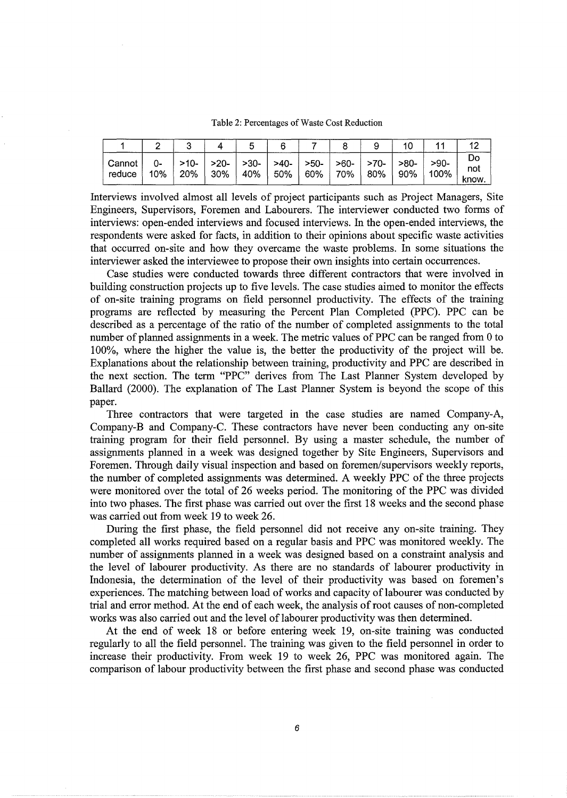Table 2: Percentages of Waste Cost Reduction

| l Cannot i<br>reduce | 10% | >10-<br>20% | >20-   >30-   >40-   >50-   >60-   >70-<br>  30% | $\vert$ 40% $\vert$ | 50%   60%   70%   80% |  | l >80-<br>  90% | $>90-$<br>$^{\prime}$ 100% | not<br>know. |
|----------------------|-----|-------------|--------------------------------------------------|---------------------|-----------------------|--|-----------------|----------------------------|--------------|

Interviews involved almost all levels of project participants such as Project Managers, Site Engineers, Supervisors, Foremen and Labourers. The interviewer conducted two forms of interviews: open-ended interviews and focused interviews. In the open-ended interviews, the respondents were asked for facts, in addition to their opinions about specific waste activities that occurred on-site and how they overcame the waste problems. In some situations the interviewer asked the interviewee to propose their own insights into certain occurrences.

Case studies were conducted towards three different contractors that were involved in building construction projects up to five levels. The case studies aimed to monitor the effects of on-site training programs on field personnel productivity. The effects of the training programs are reflected by measuring the Percent Plan Completed (PPC). PPC can be described as a percentage of the ratio of the number of completed assignments to the total number of planned assignments in a week. The metric values of PPC can be ranged from 0 to 100%, where the higher the value is, the better the productivity of the project will be. Explanations about the relationship between training, productivity and PPC are described in the next section. The term "PPC" derives from The Last Planner System developed by Ballard (2000). The explanation of The Last Planner System is beyond the scope of this paper.

Three contractors that were targeted in the case studies are named Company-A, Company-B and Company-C. These contractors have never been conducting any on-site training program for their field personnel. By using a master schedule, the number of assignments planned in a week was designed together by Site Engineers, Supervisors and Foremen. Through daily visual inspection and based on foremen/supervisors weekly reports, the number of completed assignments was determined. A weekly PPC of the three projects were monitored over the total of 26 weeks period. The monitoring of the PPC was divided into two phases. The first phase was carried out over the first 18 weeks and the second phase was carried out from week 19 to week 26.

During the first phase, the field personnel did not receive any on-site training. They completed all works required based on a regular basis and PPC was monitored weekly. The number of assignments planned in a week was designed based on a constraint analysis and the level of labourer productivity. As there are no standards of labourer productivity in Indonesia, the determination of the level of their productivity was based on foremen's experiences. The matching between load of works and capacity of labourer was conducted by trial and error method. At the end of each week, the analysis of root causes of non-completed works was also carried out and the level of labourer productivity was then determined.

At the end of week 18 or before entering week 19, on-site training was conducted regularly to all the field personnel. The training was given to the field personnel in order to increase their productivity. From week 19 to week 26, PPC was monitored again. The comparison of labour productivity between the first phase and second phase was conducted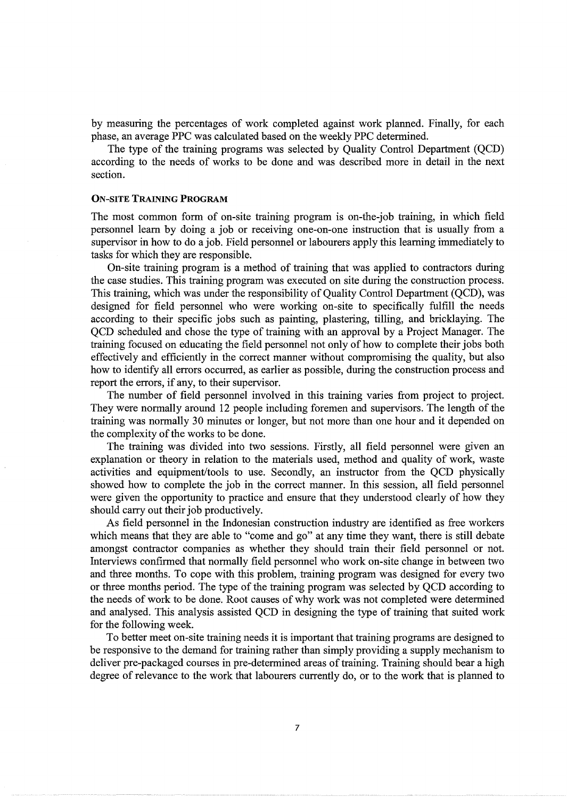by measuring the percentages of work completed against work planned. Finally, for each phase, an average PPC was calculated based on the weekly PPC determined.

The type of the training programs was selected by Quality Control Department (QCD) according to the needs of works to be done and was described more in detail in the next section.

#### ON-SITE TRAINING **PROGRAM**

The most common form of on-site training program is on-the-job training, in which field personnel learn by doing a job or receiving one-on-one instruction that is usually from a supervisor in how to do a job. Field personnel or labourers apply this learning immediately to tasks for which they are responsible.

On-site training program is a method of training that was applied to contractors during the case studies. This training program was executed on site during the construction process. This training, which was under the responsibility of Quality Control Department (QCD), was designed for field personnel who were working on-site to specifically fulfill the needs according to their specific jobs such as painting, plastering, tilling, and bricklaying. The QCD scheduled and chose the type of training with an approval by a Project Manager. The training focused on educating the field personnel not only of how to complete their jobs both effectively and efficiently in the correct manner without compromising the quality, but also how to identify all errors occurred, as earlier as possible, during the construction process and report the errors, if any, to their supervisor.

The number of field personnel involved in this training varies from project to project. They were normally around 12 people including foremen and supervisors. The length of the training was normally 30 minutes or longer, but not more than one hour and it depended on the complexity of the works to be done.

The training was divided into two sessions. Firstly, all field personnel were given an explanation or theory in relation to the materials used, method and quality of work, waste activities and equipment/tools to use. Secondly, an instructor from the QCD physically showed how to complete the job in the correct manner. In this session, all field personnel were given the opportunity to practice and ensure that they understood clearly of how they should carry out their job productively.

As field personnel in the Indonesian construction industry are identified as free workers which means that they are able to "come and go" at any time they want, there is still debate amongst contractor companies as whether they should train their field personnel or not. Interviews confirmed that normally field personnel who work on-site change in between two and three months. To cope with this problem, training program was designed for every two or three months period. The type of the training program was selected by QCD according to the needs of work to be done. Root causes of why work was not completed were determined and analysed. This analysis assisted QCD in designing the type of training that suited work for the following week.

To better meet on-site training needs it is important that training programs are designed to be responsive to the demand for training rather than simply providing a supply mechanism to deliver pre-packaged courses in pre-determined areas of training. Training should bear a high degree of relevance to the work that labourers currently do, or to the work that is planned to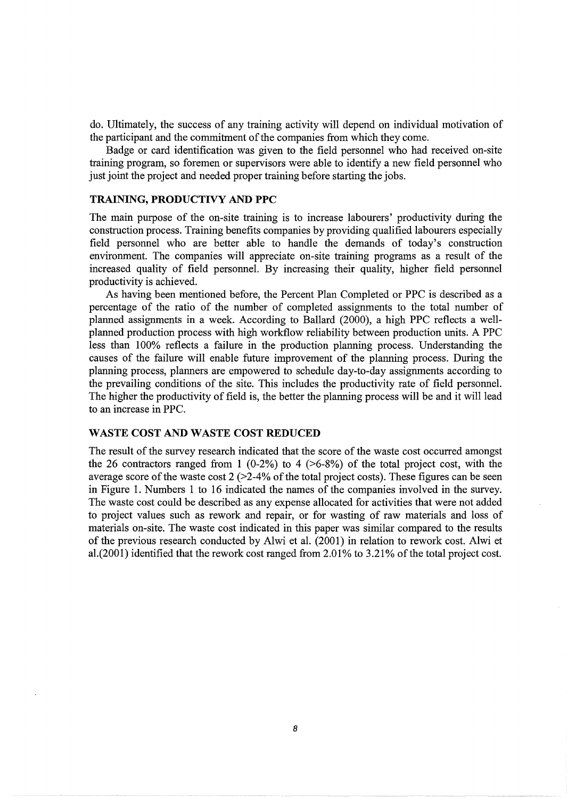do. Ultimately, the success of any training activity will depend on individual motivation of the participant and the commitment of the companies from which they come.

Badge or card identification was given to the field personnel who had received on-site training program, so foremen or supervisors were able to identify a new field personnel who just joint the project and needed proper training before starting the jobs.

#### **TRAINING, PRODUCTIVY AND PPC**

The main purpose of the on-site training is to increase labourers' productivity during the construction process. Training benefits companies by providing qualified labourers especially field personnel who are better able to handle the demands of today's construction environment. The companies will appreciate on-site training programs as a result of the increased quality of field personnel. By increasing their quality, higher field personnel productivity is achieved.

As having been mentioned before, the Percent Plan Completed or PPC is described as a percentage of the ratio of the number of completed assignments to the total number of planned assignments in a week. According to Ballard (2000), a high PPC reflects a wellplanned production process with high workflow reliability between production units. A PPC less than 100% reflects a failure in the production planning process. Understanding the causes of the failure will enable future improvement of the planning process. During the planning process, planners are empowered to schedule day-to-day assignments according to the prevailing conditions of the site. This includes the productivity rate of field personnel. The higher the productivity of field is, the better the planning process will be and it will lead to an increase in PPC.

#### **WASTE COST AND WASTE COST REDUCED**

The result of the survey research indicated that the score of the waste cost occurred amongst the 26 contractors ranged from 1 (0-2%) to 4 ( $>6-8\%$ ) of the total project cost, with the average score of the waste cost  $2$  ( $>2-4\%$  of the total project costs). These figures can be seen in Figure 1. Numbers 1 to 16 indicated the names of the companies involved in the survey. The waste cost could be described as any expense allocated for activities that were not added to project values such as rework and repair, or for wasting of raw materials and loss of materials on-site. The waste cost indicated in this paper was similar compared to the results of the previous research conducted by Alwi et al. (2001) in relation to rework cost. Alwi et al.(2001) identified that the rework cost ranged from 2.01% to 3.21% of the total project cost.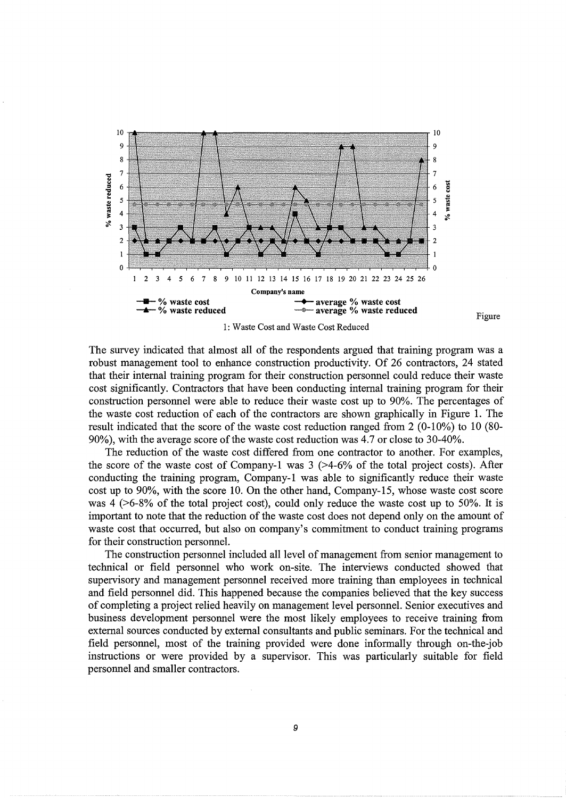

The survey indicated that almost all of the respondents argued that training program was a robust management tool to enhance construction productivity. Of 26 contractors, 24 stated that their internal training program for their construction personnel could reduce their waste cost significantly. Contractors that have been conducting internal training program for their construction personnel were able to reduce their waste cost up to 90%. The percentages of the waste cost reduction of each of the contractors are shown graphically in Figure 1. The

Figure

90%), with the average score of the waste cost reduction was 4.7 or close to 30-40%. The reduction of the waste cost differed from one contractor to another. For examples, the score of the waste cost of Company-1 was  $3$  ( $>4-6\%$  of the total project costs). After conducting the training program, Company-1 was able to significantly reduce their waste cost up to 90%, with the score 10. On the other hand, Company-15, whose waste cost score was 4 ( $>6-8\%$  of the total project cost), could only reduce the waste cost up to 50%. It is important to note that the reduction of the waste cost does not depend only on the amount of waste cost that occurred, but also on company's commitment to conduct training programs for their construction personnel.

result indicated that the score of the waste cost reduction ranged from 2 (0-10%) to 10 (80-

The construction personnel included all level of management from senior management to technical or field personnel who work on-site. The interviews conducted showed that supervisory and management personnel received more training than employees in technical and field personnel did. This happened because the companies believed that the key success of completing a project relied heavily on management level personnel. Senior executives and business development personnel were the most likely employees to receive training from external sources conducted by external consultants and public seminars. For the technical and field personnel, most of the training provided were done informally through on-the-job instructions or were provided by a supervisor. This was particularly suitable for field personnel and smaller contractors.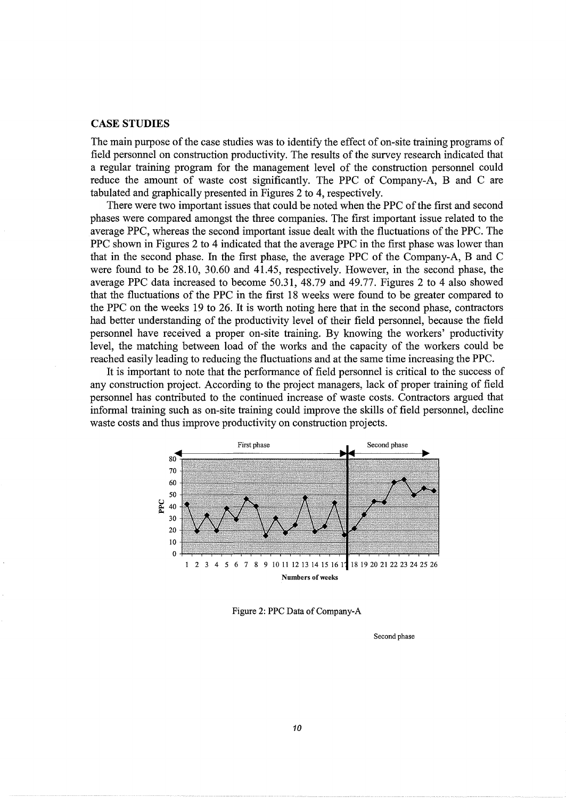#### **CASE STUDIES**

The main purpose of the case studies was to identify the effect of on-site training programs of field personnel on construction productivity. The results of the survey research indicated that a regular training program for the management level of the construction personnel could reduce the amount of waste cost significantly. The PPC of Company-A, B and C are tabulated and graphically presented in Figures 2 to 4, respectively.

There were two important issues that could be noted when the PPC of the first and second phases were compared amongst the three companies. The first important issue related to the average PPC, whereas the second important issue dealt with the fluctuations of the PPC. The PPC shown in Figures 2 to 4 indicated that the average PPC in the first phase was lower than that in the second phase. In the first phase, the average PPC of the Company-A, B and C were found to be 28.10, 30.60 and 41.45, respectively. However, in the second phase, the average PPC data increased to become 50.31, 48.79 and 49.77. Figures 2 to 4 also showed that the fluctuations of the PPC in the first 18 weeks were found to be greater compared to the PPC on the weeks 19 to 26. It is worth noting here that in the second phase, contractors had better understanding of the productivity level of their field personnel, because the field personnel have received a proper on-site training. By knowing the workers' productivity level, the matching between load of the works and the capacity of the workers could be reached easily leading to reducing the fluctuations and at the same time increasing the PPC.

It is important to note that the performance of field personnel is critical to the success of any construction project. According to the project managers, lack of proper training of field personnel has contributed to the continued increase of waste costs. Contractors argued that informal training such as on-site training could improve the skills of field personnel, decline waste costs and thus improve productivity on construction projects.



Figure 2: PPC Data of Company-A

Second phase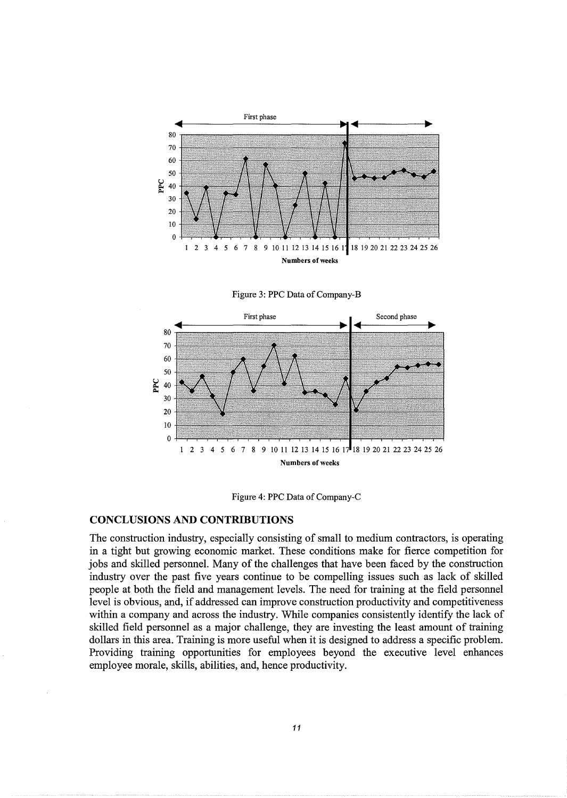







#### **CONCLUSIONS AND CONTRIBUTIONS**

The construction industry, especially consisting of small to medium contractors, is operating in a tight but growing economic market. These conditions make for fierce competition for jobs and skilled personnel. Many of the challenges that have been faced by the construction industry over the past five years continue to be compelling issues such as lack of skilled people at both the field and management levels. The need for training at the field personnel level is obvious, and, if addressed can improve construction productivity and competitiveness within a company and across the industry. While companies consistently identify the lack of skilled field personnel as a major challenge, they are investing the least amount of training dollars in this area. Training is more useful when it is designed to address a specific problem. Providing training opportunities for employees beyond the executive level enhances employee morale, skills, abilities, and, hence productivity.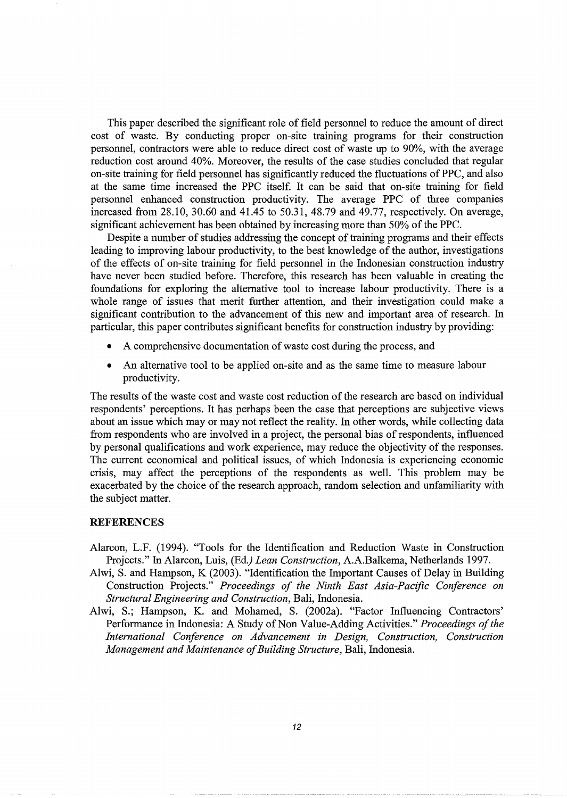This paper described the significant role of field personnel to reduce the amount of direct cost of waste. By conducting proper on-site training programs for their construction personnel, contractors were able to reduce direct cost of waste up to 90%, with the average reduction cost around 40%. Moreover, the results of the case studies concluded that regular on-site training for field personnel has significantly reduced the fluctuations ofPPC, and also at the same time increased the PPC itself. It can be said that on-site training for field personnel enhanced construction productivity. The average PPC of three companies increased from  $28.10$ ,  $30.60$  and  $41.45$  to  $50.31$ ,  $48.79$  and  $49.77$ , respectively. On average, significant achievement has been obtained by increasing more than 50% of the PPC.

Despite a number of studies addressing the concept of training programs and their effects leading to improving labour productivity, to the best knowledge of the author, investigations of the effects of on-site training for field personnel in the Indonesian construction industry have never been studied before. Therefore, this research has been valuable in creating the foundations for exploring the alternative tool to increase labour productivity. There is a whole range of issues that merit further attention, and their investigation could make a significant contribution to the advancement of this new and important area of research. In particular, this paper contributes significant benefits for construction industry by providing:

- A comprehensive documentation of waste cost during the process, and
- An alternative tool to be applied on-site and as the same time to measure labour productivity.

The results of the waste cost and waste cost reduction of the research are based on individual respondents' perceptions. It has perhaps been the case that perceptions are subjective views about an issue which may or may not reflect the reality. In other words, while collecting data from respondents who are involved in a project, the personal bias of respondents, influenced by personal qualifications and work experience, may reduce the objectivity of the responses. The current economical and political issues, of which Indonesia is experiencing economic crisis, may affect the perceptions of the respondents as well. This problem may be exacerbated by the choice of the research approach, random selection and unfamiliarity with the subject matter.

#### **REFERENCES**

- Alarcon, L.F. (1994). "Tools for the Identification and Reduction Waste in Construction Projects." In Alarcon, Luis, (Ed.) *Lean Construction,* A.A.Balkema, Netherlands 1997.
- Alwi, S. and Hampson, K (2003). "Identification the Important Causes of Delay in Building Construction Projects." *Proceedings of the Ninth East Asia-Pacific Conference on Structural Engineering and Construction,* Bali, Indonesia.
- Alwi, S.; Hampson, K. and Mohamed, S. (2002a). "Factor Influencing Contractors' Performance in Indonesia: A Study of Non Value-Adding Activities." *Proceedings of the International Conference on Advancement in Design, Construction, Construction Management and Maintenance of Building Structure,* Bali, Indonesia.